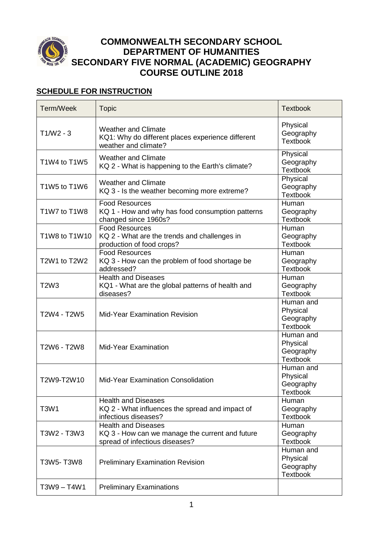

# **COMMONWEALTH SECONDARY SCHOOL DEPARTMENT OF HUMANITIES SECONDARY FIVE NORMAL (ACADEMIC) GEOGRAPHY COURSE OUTLINE 2018**

## **SCHEDULE FOR INSTRUCTION**

| Term/Week                     | <b>Topic</b>                                                                                                    | <b>Textbook</b>                                       |
|-------------------------------|-----------------------------------------------------------------------------------------------------------------|-------------------------------------------------------|
| $T1/W2 - 3$                   | <b>Weather and Climate</b><br>KQ1: Why do different places experience different<br>weather and climate?         | Physical<br>Geography<br><b>Textbook</b>              |
| T1W4 to T1W5                  | <b>Weather and Climate</b><br>KQ 2 - What is happening to the Earth's climate?                                  | Physical<br>Geography<br><b>Textbook</b>              |
| T1W5 to T1W6                  | <b>Weather and Climate</b><br>KQ 3 - Is the weather becoming more extreme?                                      | Physical<br>Geography<br><b>Textbook</b>              |
| T1W7 to T1W8                  | <b>Food Resources</b><br>KQ 1 - How and why has food consumption patterns<br>changed since 1960s?               | Human<br>Geography<br><b>Textbook</b>                 |
| T1W8 to T1W10                 | <b>Food Resources</b><br>KQ 2 - What are the trends and challenges in<br>production of food crops?              | Human<br>Geography<br><b>Textbook</b>                 |
| T2W1 to T2W2                  | <b>Food Resources</b><br>KQ 3 - How can the problem of food shortage be<br>addressed?                           | Human<br>Geography<br><b>Textbook</b>                 |
| T <sub>2</sub> W <sub>3</sub> | <b>Health and Diseases</b><br>KQ1 - What are the global patterns of health and<br>diseases?                     | Human<br>Geography<br><b>Textbook</b>                 |
| T2W4 - T2W5                   | <b>Mid-Year Examination Revision</b>                                                                            | Human and<br>Physical<br>Geography<br><b>Textbook</b> |
| T2W6 - T2W8                   | <b>Mid-Year Examination</b>                                                                                     | Human and<br>Physical<br>Geography<br><b>Textbook</b> |
| T2W9-T2W10                    | Mid-Year Examination Consolidation                                                                              | Human and<br>Physical<br>Geography<br><b>Textbook</b> |
| <b>T3W1</b>                   | <b>Health and Diseases</b><br>KQ 2 - What influences the spread and impact of<br>infectious diseases?           | Human<br>Geography<br><b>Textbook</b>                 |
| T3W2 - T3W3                   | <b>Health and Diseases</b><br>KQ 3 - How can we manage the current and future<br>spread of infectious diseases? | Human<br>Geography<br><b>Textbook</b>                 |
| T3W5-T3W8                     | <b>Preliminary Examination Revision</b>                                                                         | Human and<br>Physical<br>Geography<br><b>Textbook</b> |
| T3W9-T4W1                     | <b>Preliminary Examinations</b>                                                                                 |                                                       |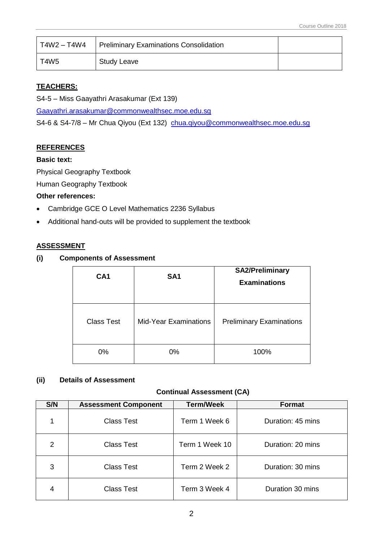| T4W2 – T4W4 | Preliminary Examinations Consolidation |  |
|-------------|----------------------------------------|--|
| T4W5        | <b>Study Leave</b>                     |  |

## **TEACHERS:**

S4-5 – Miss Gaayathri Arasakumar (Ext 139)

[Gaayathri.arasakumar@commonwealthsec.moe.edu.sg](mailto:Gaayathri.arasakumar@commonwealthsec.moe.edu.sg)

S4-6 & S4-7/8 - Mr Chua Qiyou (Ext 132) [chua.qiyou@commonwealthsec.moe.edu.sg](mailto:chua.qiyou@commonwealthsec.moe.edu.sg)

## **REFERENCES**

## **Basic text:**

Physical Geography Textbook

Human Geography Textbook

#### **Other references:**

- Cambridge GCE O Level Mathematics 2236 Syllabus
- Additional hand-outs will be provided to supplement the textbook

#### **ASSESSMENT**

#### **(i) Components of Assessment**

| CA <sub>1</sub>   | SA <sub>1</sub>              | <b>SA2/Preliminary</b><br><b>Examinations</b> |
|-------------------|------------------------------|-----------------------------------------------|
| <b>Class Test</b> | <b>Mid-Year Examinations</b> | <b>Preliminary Examinations</b>               |
| 0%                | 0%                           | 100%                                          |

## **(ii) Details of Assessment**

## **Continual Assessment (CA)**

| S/N | <b>Assessment Component</b> | <b>Term/Week</b> | <b>Format</b>     |
|-----|-----------------------------|------------------|-------------------|
|     | <b>Class Test</b>           | Term 1 Week 6    | Duration: 45 mins |
| 2   | <b>Class Test</b>           | Term 1 Week 10   | Duration: 20 mins |
| 3   | <b>Class Test</b>           | Term 2 Week 2    | Duration: 30 mins |
| 4   | <b>Class Test</b>           | Term 3 Week 4    | Duration 30 mins  |